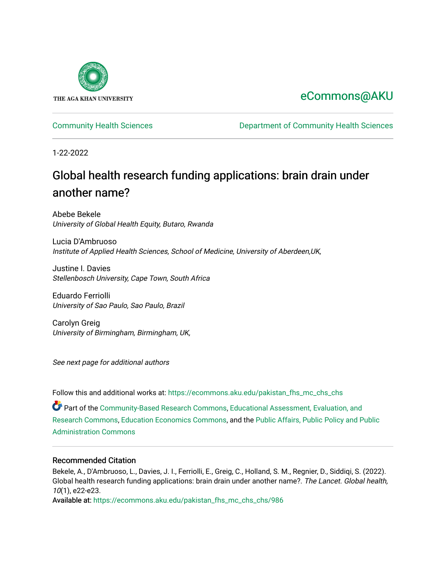

### [eCommons@AKU](https://ecommons.aku.edu/)

[Community Health Sciences](https://ecommons.aku.edu/pakistan_fhs_mc_chs_chs) [Department of Community Health Sciences](https://ecommons.aku.edu/pakistan_fhs_mc_chs) 

1-22-2022

# Global health research funding applications: brain drain under another name?

Abebe Bekele University of Global Health Equity, Butaro, Rwanda

Lucia D'Ambruoso Institute of Applied Health Sciences, School of Medicine, University of Aberdeen,UK,

Justine I. Davies Stellenbosch University, Cape Town, South Africa

Eduardo Ferriolli University of Sao Paulo, Sao Paulo, Brazil

Carolyn Greig University of Birmingham, Birmingham, UK,

See next page for additional authors

Follow this and additional works at: [https://ecommons.aku.edu/pakistan\\_fhs\\_mc\\_chs\\_chs](https://ecommons.aku.edu/pakistan_fhs_mc_chs_chs?utm_source=ecommons.aku.edu%2Fpakistan_fhs_mc_chs_chs%2F986&utm_medium=PDF&utm_campaign=PDFCoverPages) 

Part of the [Community-Based Research Commons](http://network.bepress.com/hgg/discipline/1047?utm_source=ecommons.aku.edu%2Fpakistan_fhs_mc_chs_chs%2F986&utm_medium=PDF&utm_campaign=PDFCoverPages), [Educational Assessment, Evaluation, and](http://network.bepress.com/hgg/discipline/796?utm_source=ecommons.aku.edu%2Fpakistan_fhs_mc_chs_chs%2F986&utm_medium=PDF&utm_campaign=PDFCoverPages) [Research Commons,](http://network.bepress.com/hgg/discipline/796?utm_source=ecommons.aku.edu%2Fpakistan_fhs_mc_chs_chs%2F986&utm_medium=PDF&utm_campaign=PDFCoverPages) [Education Economics Commons](http://network.bepress.com/hgg/discipline/1262?utm_source=ecommons.aku.edu%2Fpakistan_fhs_mc_chs_chs%2F986&utm_medium=PDF&utm_campaign=PDFCoverPages), and the [Public Affairs, Public Policy and Public](http://network.bepress.com/hgg/discipline/393?utm_source=ecommons.aku.edu%2Fpakistan_fhs_mc_chs_chs%2F986&utm_medium=PDF&utm_campaign=PDFCoverPages) [Administration Commons](http://network.bepress.com/hgg/discipline/393?utm_source=ecommons.aku.edu%2Fpakistan_fhs_mc_chs_chs%2F986&utm_medium=PDF&utm_campaign=PDFCoverPages) 

#### Recommended Citation

Bekele, A., D'Ambruoso, L., Davies, J. I., Ferriolli, E., Greig, C., Holland, S. M., Regnier, D., Siddiqi, S. (2022). Global health research funding applications: brain drain under another name?. The Lancet. Global health, 10(1), e22-e23.

Available at: [https://ecommons.aku.edu/pakistan\\_fhs\\_mc\\_chs\\_chs/986](https://ecommons.aku.edu/pakistan_fhs_mc_chs_chs/986)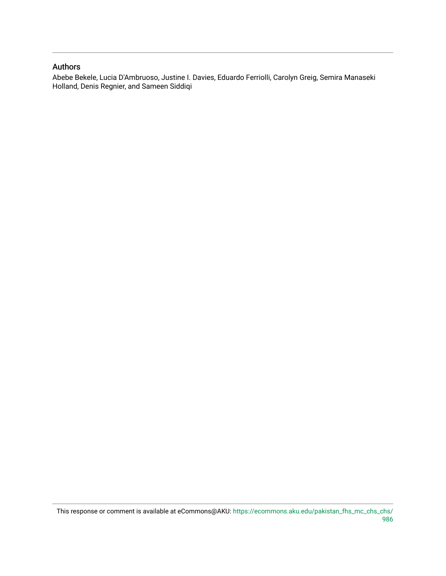### Authors

Abebe Bekele, Lucia D'Ambruoso, Justine I. Davies, Eduardo Ferriolli, Carolyn Greig, Semira Manaseki Holland, Denis Regnier, and Sameen Siddiqi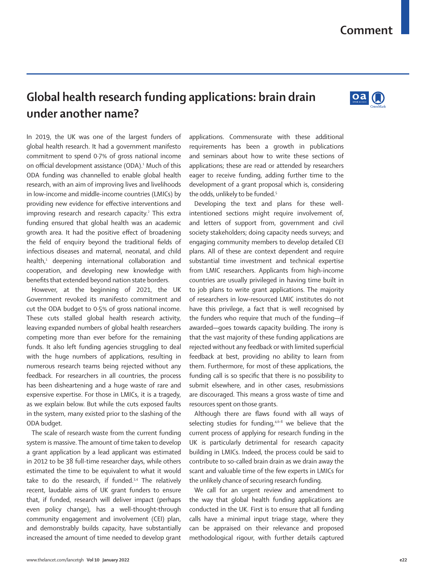### **Comment**

## **Global health research funding applications: brain drain under another name?**

In 2019, the UK was one of the largest funders of global health research. It had a government manifesto commitment to spend 0·7% of gross national income on official development assistance (ODA).<sup>1</sup> Much of this ODA funding was channelled to enable global health research, with an aim of improving lives and livelihoods in low-income and middle-income countries (LMICs) by providing new evidence for effective interventions and improving research and research capacity.<sup>2</sup> This extra funding ensured that global health was an academic growth area. It had the positive effect of broadening the field of enquiry beyond the traditional fields of infectious diseases and maternal, neonatal, and child health,<sup>1</sup> deepening international collaboration and cooperation, and developing new knowledge with benefits that extended beyond nation state borders.

However, at the beginning of 2021, the UK Government revoked its manifesto commitment and cut the ODA budget to 0·5% of gross national income. These cuts stalled global health research activity, leaving expanded numbers of global health researchers competing more than ever before for the remaining funds. It also left funding agencies struggling to deal with the huge numbers of applications, resulting in numerous research teams being rejected without any feedback. For researchers in all countries, the process has been disheartening and a huge waste of rare and expensive expertise. For those in LMICs, it is a tragedy, as we explain below. But while the cuts exposed faults in the system, many existed prior to the slashing of the ODA budget.

The scale of research waste from the current funding system is massive. The amount of time taken to develop a grant application by a lead applicant was estimated in 2012 to be 38 full-time researcher days, while others estimated the time to be equivalent to what it would take to do the research, if funded.<sup>3,4</sup> The relatively recent, laudable aims of UK grant funders to ensure that, if funded, research will deliver impact (perhaps even policy change), has a well-thought-through community engagement and involvement (CEI) plan, and demonstrably builds capacity, have substantially increased the amount of time needed to develop grant applications. Commensurate with these additional requirements has been a growth in publications and seminars about how to write these sections of applications; these are read or attended by researchers eager to receive funding, adding further time to the development of a grant proposal which is, considering the odds, unlikely to be funded.<sup>5</sup>

Developing the text and plans for these wellintentioned sections might require involvement of, and letters of support from, government and civil society stakeholders; doing capacity needs surveys; and engaging community members to develop detailed CEI plans. All of these are context dependent and require substantial time investment and technical expertise from LMIC researchers. Applicants from high-income countries are usually privileged in having time built in to job plans to write grant applications. The majority of researchers in low-resourced LMIC institutes do not have this privilege, a fact that is well recognised by the funders who require that much of the funding—if awarded—goes towards capacity building. The irony is that the vast majority of these funding applications are rejected without any feedback or with limited superficial feedback at best, providing no ability to learn from them. Furthermore, for most of these applications, the funding call is so specific that there is no possibility to submit elsewhere, and in other cases, resubmissions are discouraged. This means a gross waste of time and resources spent on those grants.

Although there are flaws found with all ways of selecting studies for funding, $4,6-8$  we believe that the current process of applying for research funding in the UK is particularly detrimental for research capacity building in LMICs. Indeed, the process could be said to contribute to so-called brain drain as we drain away the scant and valuable time of the few experts in LMICs for the unlikely chance of securing research funding.

We call for an urgent review and amendment to the way that global health funding applications are conducted in the UK. First is to ensure that all funding calls have a minimal input triage stage, where they can be appraised on their relevance and proposed methodological rigour, with further details captured